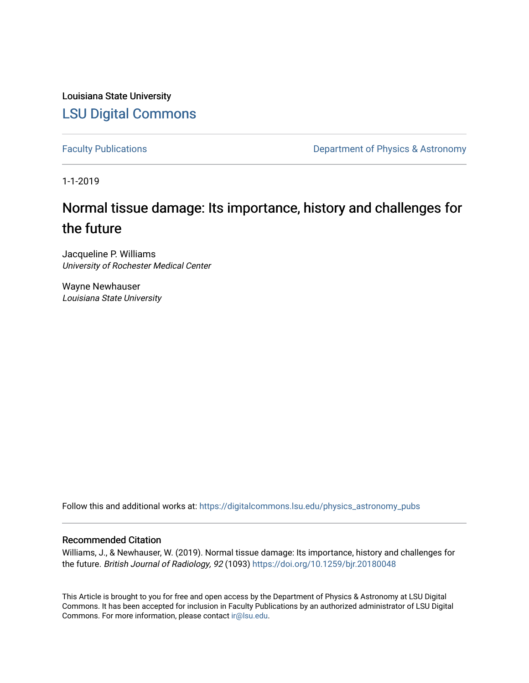Louisiana State University [LSU Digital Commons](https://digitalcommons.lsu.edu/)

[Faculty Publications](https://digitalcommons.lsu.edu/physics_astronomy_pubs) **Exercise 2 and Table 2 and Table 2 and Table 2 and Table 2 and Table 2 and Table 2 and Table 2 and Table 2 and Table 2 and Table 2 and Table 2 and Table 2 and Table 2 and Table 2 and Table 2 and Table** 

1-1-2019

# Normal tissue damage: Its importance, history and challenges for the future

Jacqueline P. Williams University of Rochester Medical Center

Wayne Newhauser Louisiana State University

Follow this and additional works at: [https://digitalcommons.lsu.edu/physics\\_astronomy\\_pubs](https://digitalcommons.lsu.edu/physics_astronomy_pubs?utm_source=digitalcommons.lsu.edu%2Fphysics_astronomy_pubs%2F3659&utm_medium=PDF&utm_campaign=PDFCoverPages) 

## Recommended Citation

Williams, J., & Newhauser, W. (2019). Normal tissue damage: Its importance, history and challenges for the future. British Journal of Radiology, 92 (1093)<https://doi.org/10.1259/bjr.20180048>

This Article is brought to you for free and open access by the Department of Physics & Astronomy at LSU Digital Commons. It has been accepted for inclusion in Faculty Publications by an authorized administrator of LSU Digital Commons. For more information, please contact [ir@lsu.edu](mailto:ir@lsu.edu).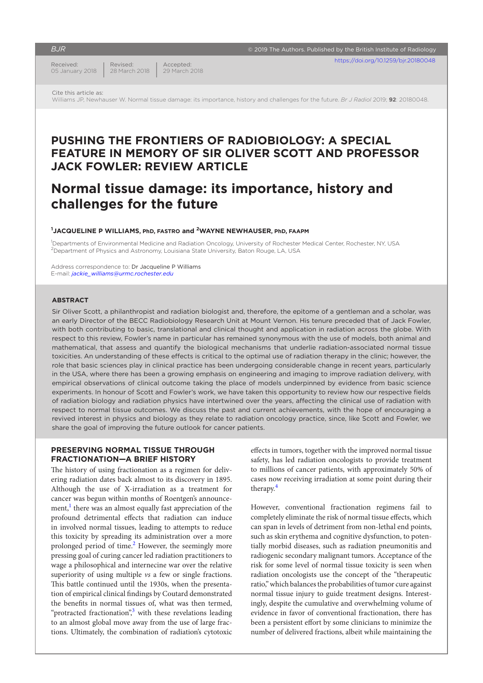#### *BJR*

Received: 05 January 2018 Revised: 28 March 2018  $\overline{\mathbb{R}}$  2019 The Authors. Published by the British Institute of Radiology

Cite this article as:

Williams JP, Newhauser W. Normal tissue damage: its importance, history and challenges for the future. *Br J Radiol* 2019; **92**: 20180048.

## **Pushing the frontiers of radiobiology: A special feature in memory of Sir Oliver Scott and Professor Jack Fowler: Review Article**

## **Normal tissue damage: its importance, history and challenges for the future**

#### **1 Jacqueline P Williams, PhD, FASTRO and 2Wayne Newhauser, PhD, FAAPM**

Accepted: 29 March 2018

1 Departments of Environmental Medicine and Radiation Oncology, University of Rochester Medical Center, Rochester, NY, USA <sup>2</sup>Department of Physics and Astronomy, Louisiana State University, Baton Rouge, LA, USA

Address correspondence to: Dr Jacqueline P Williams E-mail: *[jackie\\_williams@urmc.rochester.edu](mailto:jackie_williams@urmc.rochester.edu)*

#### **Abstract**

Sir Oliver Scott, a philanthropist and radiation biologist and, therefore, the epitome of a gentleman and a scholar, was an early Director of the BECC Radiobiology Research Unit at Mount Vernon. His tenure preceded that of Jack Fowler, with both contributing to basic, translational and clinical thought and application in radiation across the globe. With respect to this review, Fowler's name in particular has remained synonymous with the use of models, both animal and mathematical, that assess and quantify the biological mechanisms that underlie radiation-associated normal tissue toxicities. An understanding of these effects is critical to the optimal use of radiation therapy in the clinic; however, the role that basic sciences play in clinical practice has been undergoing considerable change in recent years, particularly in the USA, where there has been a growing emphasis on engineering and imaging to improve radiation delivery, with empirical observations of clinical outcome taking the place of models underpinned by evidence from basic science experiments. In honour of Scott and Fowler's work, we have taken this opportunity to review how our respective fields of radiation biology and radiation physics have intertwined over the years, affecting the clinical use of radiation with respect to normal tissue outcomes. We discuss the past and current achievements, with the hope of encouraging a revived interest in physics and biology as they relate to radiation oncology practice, since, like Scott and Fowler, we share the goal of improving the future outlook for cancer patients.

## **PRESERVING NORMAL TISSUE THROUGH FRACTIONATION—A BRIEF HISTORY**

The history of using fractionation as a regimen for delivering radiation dates back almost to its discovery in 1895. Although the use of X-irradiation as a treatment for cancer was begun within months of Roentgen's announce-ment,<sup>[1](#page-5-0)</sup> there was an almost equally fast appreciation of the profound detrimental effects that radiation can induce in involved normal tissues, leading to attempts to reduce this toxicity by spreading its administration over a more prolonged period of time.<sup>[2](#page-5-1)</sup> However, the seemingly more pressing goal of curing cancer led radiation practitioners to wage a philosophical and internecine war over the relative superiority of using multiple *vs* a few or single fractions. This battle continued until the 1930s, when the presentation of empirical clinical findings by Coutard demonstrated the benefits in normal tissues of, what was then termed, "protracted fractionation",<sup>[3](#page-6-0)</sup> with these revelations leading to an almost global move away from the use of large fractions. Ultimately, the combination of radiation's cytotoxic

effects in tumors, together with the improved normal tissue safety, has led radiation oncologists to provide treatment to millions of cancer patients, with approximately 50% of cases now receiving irradiation at some point during their therapy.<sup>[4](#page-6-1)</sup>

However, conventional fractionation regimens fail to completely eliminate the risk of normal tissue effects, which can span in levels of detriment from non-lethal end points, such as skin erythema and cognitive dysfunction, to potentially morbid diseases, such as radiation pneumonitis and radiogenic secondary malignant tumors. Acceptance of the risk for some level of normal tissue toxicity is seen when radiation oncologists use the concept of the "therapeutic ratio," which balances the probabilities of tumor cure against normal tissue injury to guide treatment designs. Interestingly, despite the cumulative and overwhelming volume of evidence in favor of conventional fractionation, there has been a persistent effort by some clinicians to minimize the number of delivered fractions, albeit while maintaining the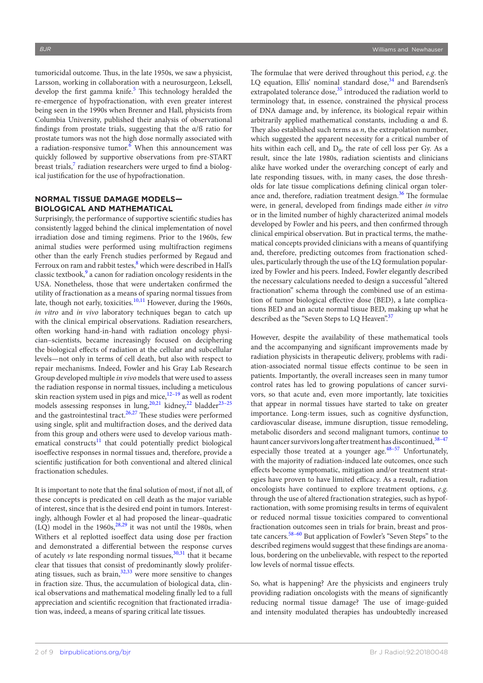tumoricidal outcome. Thus, in the late 1950s, we saw a physicist, Larsson, working in collaboration with a neurosurgeon, Leksell, develop the first gamma knife.<sup>[5](#page-6-2)</sup> This technology heralded the re-emergence of hypofractionation, with even greater interest being seen in the 1990s when Brenner and Hall, physicists from Columbia University, published their analysis of observational findings from prostate trials, suggesting that the α/ß ratio for prostate tumors was not the high dose normally associated with a radiation-responsive tumor.<sup>[6](#page-6-3)</sup> When this announcement was quickly followed by supportive observations from pre-START breast trials,<sup>[7](#page-6-4)</sup> radiation researchers were urged to find a biological justification for the use of hypofractionation.

### **NORMAL TISSUE DAMAGE MODELS— BIOLOGICAL AND MATHEMATICAL**

Surprisingly, the performance of supportive scientific studies has consistently lagged behind the clinical implementation of novel irradiation dose and timing regimens. Prior to the 1960s, few animal studies were performed using multifraction regimens other than the early French studies performed by Regaud and Ferroux on ram and rabbit testes, which were described in Hall's classic textbook,<sup>[9](#page-6-6)</sup> a canon for radiation oncology residents in the USA. Nonetheless, those that were undertaken confirmed the utility of fractionation as a means of sparing normal tissues from late, though not early, toxicities.<sup>[10,11](#page-6-7)</sup> However, during the 1960s, *in vitro* and *in vivo* laboratory techniques began to catch up with the clinical empirical observations. Radiation researchers, often working hand-in-hand with radiation oncology physician–scientists, became increasingly focused on deciphering the biological effects of radiation at the cellular and subcellular levels—not only in terms of cell death, but also with respect to repair mechanisms. Indeed, Fowler and his Gray Lab Research Group developed multiple *in vivo* models that were used to assess the radiation response in normal tissues, including a meticulous skin reaction system used in pigs and mice, $12-19$  as well as rodent models assessing responses in lung,  $20,21$  kidney,  $22$  bladder  $23-25$ and the gastrointestinal tract.<sup>26,27</sup> These studies were performed using single, split and multifraction doses, and the derived data from this group and others were used to develop various mathematical constructs $11$  that could potentially predict biological isoeffective responses in normal tissues and, therefore, provide a scientific justification for both conventional and altered clinical fractionation schedules.

It is important to note that the final solution of most, if not all, of these concepts is predicated on cell death as the major variable of interest, since that is the desired end point in tumors. Interestingly, although Fowler et al had proposed the linear–quadratic  $(LQ)$  model in the 1960s,  $28,29$  it was not until the 1980s, when Withers et al replotted isoeffect data using dose per fraction and demonstrated a differential between the response curves of acutely *vs* late responding normal tissues,<sup>[30,31](#page-6-15)</sup> that it became clear that tissues that consist of predominantly slowly proliferating tissues, such as brain, $32,33$  were more sensitive to changes in fraction size. Thus, the accumulation of biological data, clinical observations and mathematical modeling finally led to a full appreciation and scientific recognition that fractionated irradiation was, indeed, a means of sparing critical late tissues.

The formulae that were derived throughout this period, *e.g*. the LQ equation, Ellis' nominal standard dose,<sup>34</sup> and Barendsen's extrapolated tolerance dose,<sup>[35](#page-6-18)</sup> introduced the radiation world to terminology that, in essence, constrained the physical process of DNA damage and, by inference, its biological repair within arbitrarily applied mathematical constants, including α and ß. They also established such terms as *n*, the extrapolation number, which suggested the apparent necessity for a critical number of hits within each cell, and  $D_0$ , the rate of cell loss per Gy. As a result, since the late 1980s, radiation scientists and clinicians alike have worked under the overarching concept of early and late responding tissues, with, in many cases, the dose thresholds for late tissue complications defining clinical organ toler-ance and, therefore, radiation treatment design.<sup>[36](#page-6-19)</sup> The formulae were, in general, developed from findings made either *in vitro* or in the limited number of highly characterized animal models developed by Fowler and his peers, and then confirmed through clinical empirical observation. But in practical terms, the mathematical concepts provided clinicians with a means of quantifying and, therefore, predicting outcomes from fractionation schedules, particularly through the use of the LQ formulation popularized by Fowler and his peers. Indeed, Fowler elegantly described the necessary calculations needed to design a successful "altered fractionation" schema through the combined use of an estimation of tumor biological effective dose (BED), a late complications BED and an acute normal tissue BED, making up what he described as the "Seven Steps to LQ Heaven".<sup>[37](#page-6-20)</sup>

However, despite the availability of these mathematical tools and the accompanying and significant improvements made by radiation physicists in therapeutic delivery, problems with radiation-associated normal tissue effects continue to be seen in patients. Importantly, the overall increases seen in many tumor control rates has led to growing populations of cancer survivors, so that acute and, even more importantly, late toxicities that appear in normal tissues have started to take on greater importance. Long-term issues, such as cognitive dysfunction, cardiovascular disease, immune disruption, tissue remodeling, metabolic disorders and second malignant tumors, continue to haunt cancer survivors long after treatment has discontinued,  $38-47$ especially those treated at a younger age.<sup>48-57</sup> Unfortunately, with the majority of radiation-induced late outcomes, once such effects become symptomatic, mitigation and/or treatment strategies have proven to have limited efficacy. As a result, radiation oncologists have continued to explore treatment options, *e.g.* through the use of altered fractionation strategies, such as hypofractionation, with some promising results in terms of equivalent or reduced normal tissue toxicities compared to conventional fractionation outcomes seen in trials for brain, breast and pros-tate cancers.<sup>[58–60](#page-7-1)</sup> But application of Fowler's "Seven Steps" to the described regimens would suggest that these findings are anomalous, bordering on the unbelievable, with respect to the reported low levels of normal tissue effects.

So, what is happening? Are the physicists and engineers truly providing radiation oncologists with the means of significantly reducing normal tissue damage? The use of image-guided and intensity modulated therapies has undoubtedly increased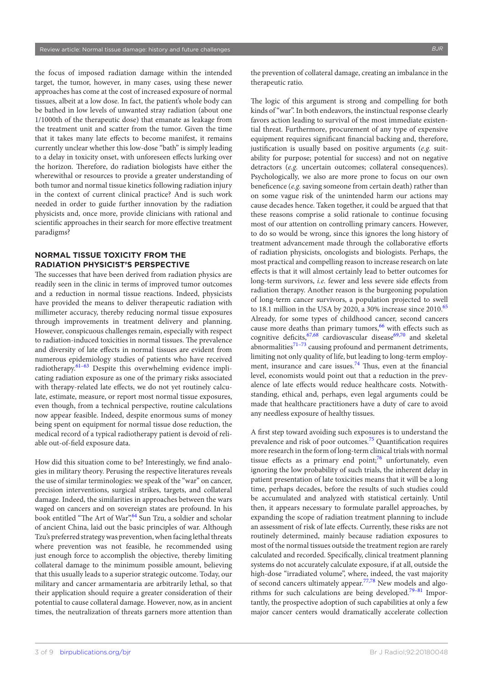the focus of imposed radiation damage within the intended target, the tumor, however, in many cases, using these newer approaches has come at the cost of increased exposure of normal tissues, albeit at a low dose. In fact, the patient's whole body can be bathed in low levels of unwanted stray radiation (about one 1/1000th of the therapeutic dose) that emanate as leakage from the treatment unit and scatter from the tumor. Given the time that it takes many late effects to become manifest, it remains currently unclear whether this low-dose "bath" is simply leading to a delay in toxicity onset, with unforeseen effects lurking over the horizon. Therefore, do radiation biologists have either the wherewithal or resources to provide a greater understanding of both tumor and normal tissue kinetics following radiation injury in the context of current clinical practice? And is such work needed in order to guide further innovation by the radiation physicists and, once more, provide clinicians with rational and scientific approaches in their search for more effective treatment paradigms?

### **NORMAL TISSUE TOXICITY FROM THE RADIATION PHYSICIST'S PERSPECTIVE**

The successes that have been derived from radiation physics are readily seen in the clinic in terms of improved tumor outcomes and a reduction in normal tissue reactions. Indeed, physicists have provided the means to deliver therapeutic radiation with millimeter accuracy, thereby reducing normal tissue exposures through improvements in treatment delivery and planning. However, conspicuous challenges remain, especially with respect to radiation-induced toxicities in normal tissues. The prevalence and diversity of late effects in normal tissues are evident from numerous epidemiology studies of patients who have received radiotherapy.<sup>61-63</sup> Despite this overwhelming evidence implicating radiation exposure as one of the primary risks associated with therapy-related late effects, we do not yet routinely calculate, estimate, measure, or report most normal tissue exposures, even though, from a technical perspective, routine calculations now appear feasible. Indeed, despite enormous sums of money being spent on equipment for normal tissue dose reduction, the medical record of a typical radiotherapy patient is devoid of reliable out-of-field exposure data.

How did this situation come to be? Interestingly, we find analogies in military theory. Perusing the respective literatures reveals the use of similar terminologies: we speak of the "war" on cancer, precision interventions, surgical strikes, targets, and collateral damage. Indeed, the similarities in approaches between the wars waged on cancers and on sovereign states are profound. In his book entitled "The Art of War", 8un Tzu, a soldier and scholar of ancient China, laid out the basic principles of war. Although Tzu's preferred strategy was prevention, when facing lethal threats where prevention was not feasible, he recommended using just enough force to accomplish the objective, thereby limiting collateral damage to the minimum possible amount, believing that this usually leads to a superior strategic outcome. Today, our military and cancer armamentaria are arbitrarily lethal, so that their application should require a greater consideration of their potential to cause collateral damage. However, now, as in ancient times, the neutralization of threats garners more attention than

the prevention of collateral damage, creating an imbalance in the therapeutic ratio.

The logic of this argument is strong and compelling for both kinds of "war". In both endeavors, the instinctual response clearly favors action leading to survival of the most immediate existential threat. Furthermore, procurement of any type of expensive equipment requires significant financial backing and, therefore, justification is usually based on positive arguments (*e.g.* suitability for purpose; potential for success) and not on negative detractors (*e.g.* uncertain outcomes; collateral consequences). Psychologically, we also are more prone to focus on our own beneficence (*e.g.* saving someone from certain death) rather than on some vague risk of the unintended harm our actions may cause decades hence. Taken together, it could be argued that that these reasons comprise a solid rationale to continue focusing most of our attention on controlling primary cancers. However, to do so would be wrong, since this ignores the long history of treatment advancement made through the collaborative efforts of radiation physicists, oncologists and biologists. Perhaps, the most practical and compelling reason to increase research on late effects is that it will almost certainly lead to better outcomes for long-term survivors, *i.e.* fewer and less severe side effects from radiation therapy. Another reason is the burgeoning population of long-term cancer survivors, a population projected to swell to 18.1 million in the USA by 2020, a 30% increase since  $2010^{65}$  $2010^{65}$  $2010^{65}$ Already, for some types of childhood cancer, second cancers cause more deaths than primary tumors,  $66$  with effects such as cognitive deficits,  $67,68$  cardiovascular disease  $69,70$  and skeletal abnormalities<sup>71-73</sup> causing profound and permanent detriments, limiting not only quality of life, but leading to long-term employment, insurance and care issues. $74$  Thus, even at the financial level, economists would point out that a reduction in the prevalence of late effects would reduce healthcare costs. Notwithstanding, ethical and, perhaps, even legal arguments could be made that healthcare practitioners have a duty of care to avoid any needless exposure of healthy tissues.

A first step toward avoiding such exposures is to understand the prevalence and risk of poor outcomes.<sup>[75](#page-8-3)</sup> Quantification requires more research in the form of long-term clinical trials with normal tissue effects as a primary end  $point; ^{76}$  unfortunately, even ignoring the low probability of such trials, the inherent delay in patient presentation of late toxicities means that it will be a long time, perhaps decades, before the results of such studies could be accumulated and analyzed with statistical certainly. Until then, it appears necessary to formulate parallel approaches, by expanding the scope of radiation treatment planning to include an assessment of risk of late effects. Currently, these risks are not routinely determined, mainly because radiation exposures to most of the normal tissues outside the treatment region are rarely calculated and recorded. Specifically, clinical treatment planning systems do not accurately calculate exposure, if at all, outside the high-dose "irradiated volume", where, indeed, the vast majority of second cancers ultimately appear.<sup>77,78</sup> New models and algo-rithms for such calculations are being developed.<sup>[79–81](#page-8-6)</sup> Importantly, the prospective adoption of such capabilities at only a few major cancer centers would dramatically accelerate collection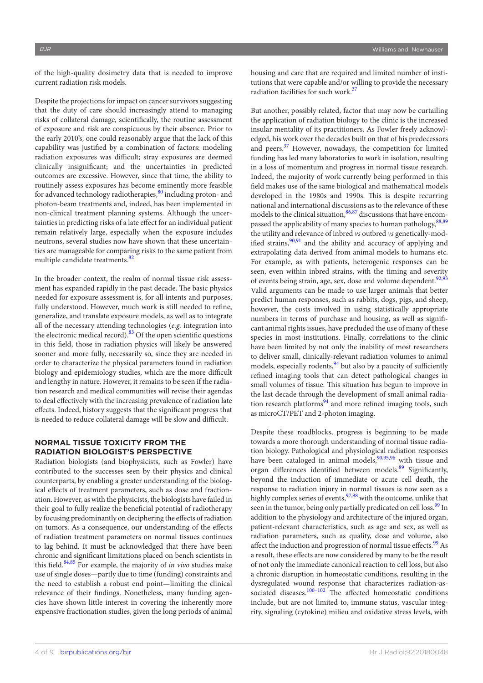of the high-quality dosimetry data that is needed to improve current radiation risk models.

Despite the projections for impact on cancer survivors suggesting that the duty of care should increasingly attend to managing risks of collateral damage, scientifically, the routine assessment of exposure and risk are conspicuous by their absence. Prior to the early 2010's, one could reasonably argue that the lack of this capability was justified by a combination of factors: modeling radiation exposures was difficult; stray exposures are deemed clinically insignificant; and the uncertainties in predicted outcomes are excessive. However, since that time, the ability to routinely assess exposures has become eminently more feasible for advanced technology radiotherapies, $80$  including proton- and photon-beam treatments and, indeed, has been implemented in non-clinical treatment planning systems. Although the uncertainties in predicting risks of a late effect for an individual patient remain relatively large, especially when the exposure includes neutrons, several studies now have shown that these uncertainties are manageable for comparing risks to the same patient from multiple candidate treatments.<sup>[82](#page-8-8)</sup>

In the broader context, the realm of normal tissue risk assessment has expanded rapidly in the past decade. The basic physics needed for exposure assessment is, for all intents and purposes, fully understood. However, much work is still needed to refine, generalize, and translate exposure models, as well as to integrate all of the necessary attending technologies (*e.g.* integration into the electronic medical record). $83$  Of the open scientific questions in this field, those in radiation physics will likely be answered sooner and more fully, necessarily so, since they are needed in order to characterize the physical parameters found in radiation biology and epidemiology studies, which are the more difficult and lengthy in nature. However, it remains to be seen if the radiation research and medical communities will revise their agendas to deal effectively with the increasing prevalence of radiation late effects. Indeed, history suggests that the significant progress that is needed to reduce collateral damage will be slow and difficult.

#### **NORMAL TISSUE TOXICITY FROM THE RADIATION BIOLOGIST'S PERSPECTIVE**

Radiation biologists (and biophysicists, such as Fowler) have contributed to the successes seen by their physics and clinical counterparts, by enabling a greater understanding of the biological effects of treatment parameters, such as dose and fractionation. However, as with the physicists, the biologists have failed in their goal to fully realize the beneficial potential of radiotherapy by focusing predominantly on deciphering the effects of radiation on tumors. As a consequence, our understanding of the effects of radiation treatment parameters on normal tissues continues to lag behind. It must be acknowledged that there have been chronic and significant limitations placed on bench scientists in this field. $84,85$  For example, the majority of *in vivo* studies make use of single doses—partly due to time (funding) constraints and the need to establish a robust end point—limiting the clinical relevance of their findings. Nonetheless, many funding agencies have shown little interest in covering the inherently more expensive fractionation studies, given the long periods of animal housing and care that are required and limited number of institutions that were capable and/or willing to provide the necessary radiation facilities for such work.<sup>[37](#page-6-20)</sup>

But another, possibly related, factor that may now be curtailing the application of radiation biology to the clinic is the increased insular mentality of its practitioners. As Fowler freely acknowledged, his work over the decades built on that of his predecessors and peers.<sup>[37](#page-6-20)</sup> However, nowadays, the competition for limited funding has led many laboratories to work in isolation, resulting in a loss of momentum and progress in normal tissue research. Indeed, the majority of work currently being performed in this field makes use of the same biological and mathematical models developed in the 1980s and 1990s. This is despite recurring national and international discussions as to the relevance of these models to the clinical situation, [86,87](#page-8-11) discussions that have encom-passed the applicability of many species to human pathology, [88,89](#page-8-12) the utility and relevance of inbred *vs* outbred *vs* genetically-modified strains, $90,91$  and the ability and accuracy of applying and extrapolating data derived from animal models to humans etc. For example, as with patients, heterogenic responses can be seen, even within inbred strains, with the timing and severity of events being strain, age, sex, dose and volume dependent.<sup>[92,93](#page-8-14)</sup> Valid arguments can be made to use larger animals that better predict human responses, such as rabbits, dogs, pigs, and sheep, however, the costs involved in using statistically appropriate numbers in terms of purchase and housing, as well as significant animal rights issues, have precluded the use of many of these species in most institutions. Finally, correlations to the clinic have been limited by not only the inability of most researchers to deliver small, clinically-relevant radiation volumes to animal models, especially rodents,  $94$  but also by a paucity of sufficiently refined imaging tools that can detect pathological changes in small volumes of tissue. This situation has begun to improve in the last decade through the development of small animal radiation research platforms $94$  and more refined imaging tools, such as microCT/PET and 2-photon imaging.

Despite these roadblocks, progress is beginning to be made towards a more thorough understanding of normal tissue radiation biology. Pathological and physiological radiation responses have been cataloged in animal models, [90,95,96](#page-8-13) with tissue and organ differences identified between models.<sup>[89](#page-8-16)</sup> Significantly, beyond the induction of immediate or acute cell death, the response to radiation injury in normal tissues is now seen as a highly complex series of events,  $\frac{97,98}{97,98}$  $\frac{97,98}{97,98}$  $\frac{97,98}{97,98}$  with the outcome, unlike that seen in the tumor, being only partially predicated on cell loss.<sup>[99](#page-9-0)</sup> In addition to the physiology and architecture of the injured organ, patient-relevant characteristics, such as age and sex, as well as radiation parameters, such as quality, dose and volume, also affect the induction and progression of normal tissue effects.<sup>99</sup> As a result, these effects are now considered by many to be the result of not only the immediate canonical reaction to cell loss, but also a chronic disruption in homeostatic conditions, resulting in the dysregulated wound response that characterizes radiation-associated diseases. $100-102$  The affected homeostatic conditions include, but are not limited to, immune status, vascular integrity, signaling (cytokine) milieu and oxidative stress levels, with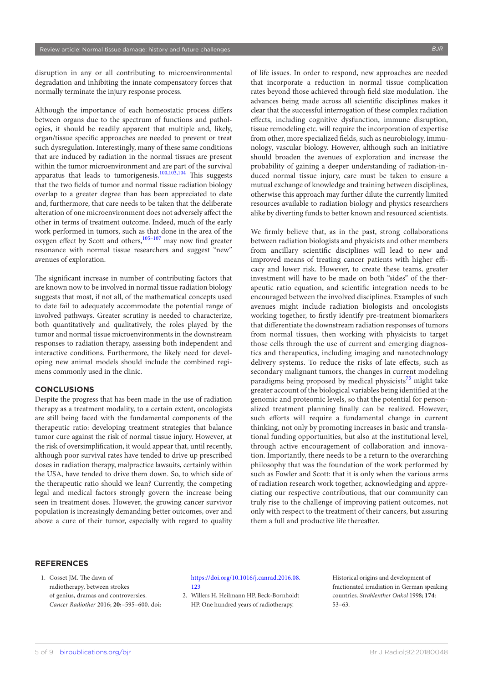disruption in any or all contributing to microenvironmental degradation and inhibiting the innate compensatory forces that normally terminate the injury response process.

Although the importance of each homeostatic process differs between organs due to the spectrum of functions and pathologies, it should be readily apparent that multiple and, likely, organ/tissue specific approaches are needed to prevent or treat such dysregulation. Interestingly, many of these same conditions that are induced by radiation in the normal tissues are present within the tumor microenvironment and are part of the survival apparatus that leads to tumorigenesis.<sup>[100,103,104](#page-9-1)</sup> This suggests that the two fields of tumor and normal tissue radiation biology overlap to a greater degree than has been appreciated to date and, furthermore, that care needs to be taken that the deliberate alteration of one microenvironment does not adversely affect the other in terms of treatment outcome. Indeed, much of the early work performed in tumors, such as that done in the area of the oxygen effect by Scott and others, $105-107$  may now find greater resonance with normal tissue researchers and suggest "new" avenues of exploration.

The significant increase in number of contributing factors that are known now to be involved in normal tissue radiation biology suggests that most, if not all, of the mathematical concepts used to date fail to adequately accommodate the potential range of involved pathways. Greater scrutiny is needed to characterize, both quantitatively and qualitatively, the roles played by the tumor and normal tissue microenvironments in the downstream responses to radiation therapy, assessing both independent and interactive conditions. Furthermore, the likely need for developing new animal models should include the combined regimens commonly used in the clinic.

#### **CONCLUSIONS**

Despite the progress that has been made in the use of radiation therapy as a treatment modality, to a certain extent, oncologists are still being faced with the fundamental components of the therapeutic ratio: developing treatment strategies that balance tumor cure against the risk of normal tissue injury. However, at the risk of oversimplification, it would appear that, until recently, although poor survival rates have tended to drive up prescribed doses in radiation therapy, malpractice lawsuits, certainly within the USA, have tended to drive them down. So, to which side of the therapeutic ratio should we lean? Currently, the competing legal and medical factors strongly govern the increase being seen in treatment doses. However, the growing cancer survivor population is increasingly demanding better outcomes, over and above a cure of their tumor, especially with regard to quality

of life issues. In order to respond, new approaches are needed that incorporate a reduction in normal tissue complication rates beyond those achieved through field size modulation. The advances being made across all scientific disciplines makes it clear that the successful interrogation of these complex radiation effects, including cognitive dysfunction, immune disruption, tissue remodeling etc. will require the incorporation of expertise from other, more specialized fields, such as neurobiology, immunology, vascular biology. However, although such an initiative should broaden the avenues of exploration and increase the probability of gaining a deeper understanding of radiation-induced normal tissue injury, care must be taken to ensure a mutual exchange of knowledge and training between disciplines, otherwise this approach may further dilute the currently limited resources available to radiation biology and physics researchers alike by diverting funds to better known and resourced scientists.

We firmly believe that, as in the past, strong collaborations between radiation biologists and physicists and other members from ancillary scientific disciplines will lead to new and improved means of treating cancer patients with higher efficacy and lower risk. However, to create these teams, greater investment will have to be made on both "sides" of the therapeutic ratio equation, and scientific integration needs to be encouraged between the involved disciplines. Examples of such avenues might include radiation biologists and oncologists working together, to firstly identify pre-treatment biomarkers that differentiate the downstream radiation responses of tumors from normal tissues, then working with physicists to target those cells through the use of current and emerging diagnostics and therapeutics, including imaging and nanotechnology delivery systems. To reduce the risks of late effects, such as secondary malignant tumors, the changes in current modeling paradigms being proposed by medical physicists<sup>[75](#page-8-3)</sup> might take greater account of the biological variables being identified at the genomic and proteomic levels, so that the potential for personalized treatment planning finally can be realized. However, such efforts will require a fundamental change in current thinking, not only by promoting increases in basic and translational funding opportunities, but also at the institutional level, through active encouragement of collaboration and innovation. Importantly, there needs to be a return to the overarching philosophy that was the foundation of the work performed by such as Fowler and Scott: that it is only when the various arms of radiation research work together, acknowledging and appreciating our respective contributions, that our community can truly rise to the challenge of improving patient outcomes, not only with respect to the treatment of their cancers, but assuring them a full and productive life thereafter.

#### **REFERENCES**

<span id="page-5-0"></span>1. Cosset JM. The dawn of radiotherapy, between strokes of genius, dramas and controversies. *Cancer Radiother* 2016; **20:**–595–600. doi:

#### [https://doi.org/10.1016/j.canrad.2016.08.](https://doi.org/10.1016/j.canrad.2016.08.123) [123](https://doi.org/10.1016/j.canrad.2016.08.123)

<span id="page-5-1"></span>2. Willers H, Heilmann HP, Beck-Bornholdt HP. One hundred years of radiotherapy.

Historical origins and development of fractionated irradiation in German speaking countries. *Strahlenther Onkol* 1998; **174**: 53–63.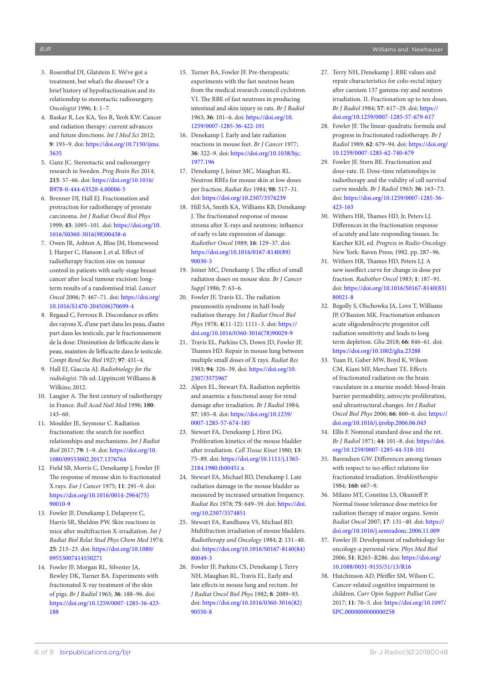- <span id="page-6-0"></span>3. Rosenthal DI, Glatstein E. We've got a treatment, but what's the disease? Or a brief history of hypofractionation and its relationship to stereotactic radiosurgery. *Oncologist* 1996; **1**: 1–7.
- <span id="page-6-1"></span>4. Baskar R, Lee KA, Yeo R, Yeoh KW. Cancer and radiation therapy: current advances and future directions. *Int J Med Sci* 2012; **9**: 193–9. doi: [https://doi.org/10.7150/ijms.](https://doi.org/10.7150/ijms.3635) [3635](https://doi.org/10.7150/ijms.3635)
- <span id="page-6-2"></span>5. Ganz JC. Stereotactic and radiosurgery research in Sweden. *Prog Brain Res* 2014; **215**: 57–66. doi: [https://doi.org/10.1016/](https://doi.org/10.1016/B978-0-444-63520-4.00006-5) [B978-0-444-63520-4.00006-5](https://doi.org/10.1016/B978-0-444-63520-4.00006-5)
- <span id="page-6-3"></span>6. Brenner DJ, Hall EJ. Fractionation and protraction for radiotherapy of prostate carcinoma. *Int J Radiat Oncol Biol Phys* 1999; **43**: 1095–101. doi: [https://doi.org/10.](https://doi.org/10.1016/S0360-3016(98)00438-6) [1016/S0360-3016\(98\)00438-6](https://doi.org/10.1016/S0360-3016(98)00438-6)
- <span id="page-6-4"></span>7. Owen JR, Ashton A, Bliss JM, Homewood J, Harper C, Hanson J, et al. Effect of radiotherapy fraction size on tumour control in patients with early-stage breast cancer after local tumour excision: longterm results of a randomised trial. *Lancet Oncol* 2006; **7**: 467–71. doi: [https://doi.org/](https://doi.org/10.1016/S1470-2045(06)70699-4) [10.1016/S1470-2045\(06\)70699-4](https://doi.org/10.1016/S1470-2045(06)70699-4)
- <span id="page-6-5"></span>8. Regaud C, Ferroux R. Discordance es effets des rayons X, d'une part dans les peau, d'autre part dans les testicule, par le fractionnement de la dose: Diminution de l'efficacite dans le peau, maintien de l'efficacite dans le testicule. *Compt Rend Soc Biol* 1927; **97**: 431–4.
- <span id="page-6-6"></span>9. Hall EJ, Giaccia AJ. *Radiobiology for the radiologist*. 7th ed: Lippincott Williams & Wilkins; 2012.
- <span id="page-6-7"></span>10. Laugier A. The first century of radiotherapy in France. *Bull Acad Natl Med* 1996; **180**: 143–60.
- <span id="page-6-13"></span>11. Moulder JE, Seymour C. Radiation fractionation: the search for isoeffect relationships and mechanisms. *Int J Radiat Biol* 2017; **79**: 1–9. doi: [https://doi.org/10.](https://doi.org/10.1080/09553002.2017.1376764) [1080/09553002.2017.1376764](https://doi.org/10.1080/09553002.2017.1376764)
- <span id="page-6-8"></span>12. Field SB, Morris C, Denekamp J, Fowler JF. The response of mouse skin to fractionated X rays. *Eur J Cancer* 1975; **11**: 291–9. doi: [https://doi.org/10.1016/0014-2964\(75\)](https://doi.org/10.1016/0014-2964(75)90010-9) [90010-9](https://doi.org/10.1016/0014-2964(75)90010-9)
- 13. Fowler JF, Denekamp J, Delapeyre C, Harris SR, Sheldon PW. Skin reactions in mice after multifraction X-irradiation. *Int J Radiat Biol Relat Stud Phys Chem Med* 1974; **25**: 213–23. doi: [https://doi.org/10.1080/](https://doi.org/10.1080/09553007414550271) [09553007414550271](https://doi.org/10.1080/09553007414550271)
- 14. Fowler JF, Morgan RL, Silvester JA, Bewley DK, Turner BA. Experiments with fractionated X-ray treatment of the skin of pigs. *Br J Radiol* 1963; **36**: 188–96. doi: [https://doi.org/10.1259/0007-1285-36-423-](https://doi.org/10.1259/0007-1285-36-423-188) [188](https://doi.org/10.1259/0007-1285-36-423-188)
- 15. Turner BA, Fowler JF. Pre-therapeutic experiments with the fast neutron beam from the medical research council cyclotron. VI. The RBE of fast neutrons in producing intestinal and skin injury in rats. *Br J Radiol* 1963; **36**: 101–6. doi: [https://doi.org/10.](https://doi.org/10.1259/0007-1285-36-422-101) [1259/0007-1285-36-422-101](https://doi.org/10.1259/0007-1285-36-422-101)
- 16. Denekamp J. Early and late radiation reactions in mouse feet. *Br J Cancer* 1977; **36**: 322–9. doi: [https://doi.org/10.1038/bjc.](https://doi.org/10.1038/bjc.1977.196) [1977.196](https://doi.org/10.1038/bjc.1977.196)
- 17. Denekamp J, Joiner MC, Maughan RL. Neutron RBEs for mouse skin at low doses per fraction. *Radiat Res* 1984; **98**: 317–31. doi:<https://doi.org/10.2307/3576239>
- 18. Hill SA, Smith KA, Williams KB, Denekamp J. The fractionated response of mouse stroma after X-rays and neutrons: influence of early vs late expression of damage. *Radiother Oncol* 1989; **16**: 129–37. doi: [https://doi.org/10.1016/0167-8140\(89\)](https://doi.org/10.1016/0167-8140(89)90030-3) [90030-3](https://doi.org/10.1016/0167-8140(89)90030-3)
- 19. Joiner MC, Denekamp J. The effect of small radiation doses on mouse skin. *Br J Cancer Suppl* 1986; **7**: 63–6.
- <span id="page-6-9"></span>20. Fowler JF, Travis EL. The radiation pneumonitis syndrome in half-body radiation therapy. *Int J Radiat Oncol Biol Phys* 1978; **4**(11-12): 1111–3. doi: [https://](https://doi.org/10.1016/0360-3016(78)90029-9) [doi.org/10.1016/0360-3016\(78\)90029-9](https://doi.org/10.1016/0360-3016(78)90029-9)
- 21. Travis EL, Parkins CS, Down JD, Fowler JF, Thames HD. Repair in mouse lung between multiple small doses of X rays. *Radiat Res* 1983; **94**: 326–39. doi: [https://doi.org/10.](https://doi.org/10.2307/3575967) [2307/3575967](https://doi.org/10.2307/3575967)
- <span id="page-6-10"></span>22. Alpen EL, Stewart FA. Radiation nephritis and anaemia: a functional assay for renal damage after irradiation. *Br J Radiol* 1984; **57**: 185–8. doi: [https://doi.org/10.1259/](https://doi.org/10.1259/0007-1285-57-674-185) [0007-1285-57-674-185](https://doi.org/10.1259/0007-1285-57-674-185)
- <span id="page-6-11"></span>23. Stewart FA, Denekamp J, Hirst DG. Proliferation kinetics of the mouse bladder after irradiation. *Cell Tissue Kinet* 1980; **13**: 75–89. doi: [https://doi.org/10.1111/j.1365-](https://doi.org/10.1111/j.1365-2184.1980.tb00451.x) [2184.1980.tb00451.x](https://doi.org/10.1111/j.1365-2184.1980.tb00451.x)
- 24. Stewart FA, Michael BD, Denekamp J. Late radiation damage in the mouse bladder as measured by increased urination frequency. *Radiat Res* 1978; **75**: 649–59. doi: [https://doi.](https://doi.org/10.2307/3574851) [org/10.2307/3574851](https://doi.org/10.2307/3574851)
- 25. Stewart FA, Randhawa VS, Michael BD. Multifraction irradiation of mouse bladders. *Radiotherapy and Oncology* 1984; **2**: 131–40. doi: [https://doi.org/10.1016/S0167-8140\(84\)](https://doi.org/10.1016/S0167-8140(84)80049-3) [80049-3](https://doi.org/10.1016/S0167-8140(84)80049-3)
- <span id="page-6-12"></span>26. Fowler JF, Parkins CS, Denekamp J, Terry NH, Maughan RL, Travis EL. Early and late effects in mouse lung and rectum. *Int J Radiat Oncol Biol Phys* 1982; **8**: 2089–93. doi: [https://doi.org/10.1016/0360-3016\(82\)](https://doi.org/10.1016/0360-3016(82)90550-8) [90550-8](https://doi.org/10.1016/0360-3016(82)90550-8)
- 27. Terry NH, Denekamp J. RBE values and repair characteristics for colo-rectal injury after caesium 137 gamma-ray and neutron irradiation. II. Fractionation up to ten doses. *Br J Radiol* 1984; **57**: 617–29. doi: [https://](https://doi.org/10.1259/0007-1285-57-679-617) [doi.org/10.1259/0007-1285-57-679-617](https://doi.org/10.1259/0007-1285-57-679-617)
- <span id="page-6-14"></span>28. Fowler JF. The linear-quadratic formula and progress in fractionated radiotherapy. *Br J Radiol* 1989; **62**: 679–94. doi: [https://doi.org/](https://doi.org/10.1259/0007-1285-62-740-679) [10.1259/0007-1285-62-740-679](https://doi.org/10.1259/0007-1285-62-740-679)
- 29. Fowler JF, Stern BE. Fractionation and dose-rate. II. Dose-time relationships in radiotherapy and the validity of cell survival curve models. *Br J Radiol* 1963; **36**: 163–73. doi: [https://doi.org/10.1259/0007-1285-36-](https://doi.org/10.1259/0007-1285-36-423-163) [423-163](https://doi.org/10.1259/0007-1285-36-423-163)
- <span id="page-6-15"></span>30. Withers HR, Thames HD, Jr, Peters LJ. Differences in the fractionation response of acutely and late-responding tissues. In: Karcher KH, ed. *Progress in Radio-Oncology*. New York: Raven Press; 1982. pp. 287–96.
- 31. Withers HR, Thames HD, Peters LJ. A new isoeffect curve for change in dose per fraction. *Radiother Oncol* 1983; **1**: 187–91. doi: [https://doi.org/10.1016/S0167-8140\(83\)](https://doi.org/10.1016/S0167-8140(83)80021-8) [80021-8](https://doi.org/10.1016/S0167-8140(83)80021-8)
- <span id="page-6-16"></span>32. Begolly S, Olschowka JA, Love T, Williams JP, O'Banion MK. Fractionation enhances acute oligodendrocyte progenitor cell radiation sensitivity and leads to long term depletion. *Glia* 2018; **66**: 846–61. doi: <https://doi.org/10.1002/glia.23288>
- 33. Yuan H, Gaber MW, Boyd K, Wilson CM, Kiani MF, Merchant TE. Effects of fractionated radiation on the brain vasculature in a murine model: blood-brain barrier permeability, astrocyte proliferation, and ultrastructural changes. *Int J Radiat Oncol Biol Phys* 2006; **66**: 860–6. doi: [https://](https://doi.org/10.1016/j.ijrobp.2006.06.043) [doi.org/10.1016/j.ijrobp.2006.06.043](https://doi.org/10.1016/j.ijrobp.2006.06.043)
- <span id="page-6-17"></span>34. Ellis F. Nominal standard dose and the ret. *Br J Radiol* 1971; **44**: 101–8. doi: [https://doi.](https://doi.org/10.1259/0007-1285-44-518-101) [org/10.1259/0007-1285-44-518-101](https://doi.org/10.1259/0007-1285-44-518-101)
- <span id="page-6-18"></span>35. Barendsen GW. Differences among tissues with respect to iso-effect relations for fractionated irradiation. *Strahlentherapie* 1984; **160**: 667–9.
- <span id="page-6-19"></span>36. Milano MT, Constine LS, Okunieff P. Normal tissue tolerance dose metrics for radiation therapy of major organs. *Semin Radiat Oncol* 2007; **17**: 131–40. doi: [https://](https://doi.org/10.1016/j.semradonc.2006.11.009) [doi.org/10.1016/j.semradonc.2006.11.009](https://doi.org/10.1016/j.semradonc.2006.11.009)
- <span id="page-6-20"></span>37. Fowler JF. Development of radiobiology for oncology-a personal view. *Phys Med Biol* 2006; **51**: R263–R286. doi: [https://doi.org/](https://doi.org/10.1088/0031-9155/51/13/R16) [10.1088/0031-9155/51/13/R16](https://doi.org/10.1088/0031-9155/51/13/R16)
- <span id="page-6-21"></span>38. Hutchinson AD, Pfeiffer SM, Wilson C. Cancer-related cognitive impairment in children. *Curr Opin Support Palliat Care* 2017; **11**: 70–5. doi: [https://doi.org/10.1097/](https://doi.org/10.1097/SPC.0000000000000258) [SPC.0000000000000258](https://doi.org/10.1097/SPC.0000000000000258)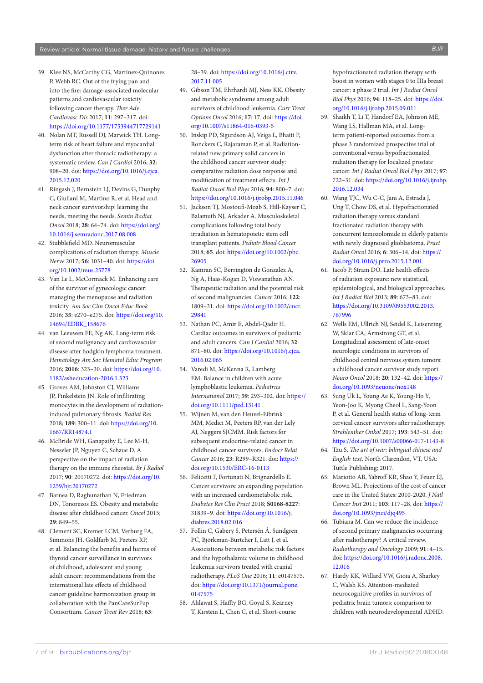- 39. Klee NS, McCarthy CG, Martinez-Quinones P, Webb RC. Out of the frying pan and into the fire: damage-associated molecular patterns and cardiovascular toxicity following cancer therapy. *Ther Adv Cardiovasc Dis* 2017; **11**: 297–317. doi: <https://doi.org/10.1177/1753944717729141>
- 40. Nolan MT, Russell DJ, Marwick TH. Longterm risk of heart failure and myocardial dysfunction after thoracic radiotherapy: a systematic review. *Can J Cardiol* 2016; **32**: 908–20. doi: [https://doi.org/10.1016/j.cjca.](https://doi.org/10.1016/j.cjca.2015.12.020) [2015.12.020](https://doi.org/10.1016/j.cjca.2015.12.020)
- 41. Ringash J, Bernstein LJ, Devins G, Dunphy C, Giuliani M, Martino R, et al. Head and neck cancer survivorship: learning the needs, meeting the needs. *Semin Radiat Oncol* 2018; **28**: 64–74. doi: [https://doi.org/](https://doi.org/10.1016/j.semradonc.2017.08.008) [10.1016/j.semradonc.2017.08.008](https://doi.org/10.1016/j.semradonc.2017.08.008)
- 42. Stubblefield MD. Neuromuscular complications of radiation therapy. *Muscle Nerve* 2017; **56**: 1031–40. doi: [https://doi.](https://doi.org/10.1002/mus.25778) [org/10.1002/mus.25778](https://doi.org/10.1002/mus.25778)
- 43. Van Le L, McCormack M. Enhancing care of the survivor of gynecologic cancer: managing the menopause and radiation toxicity. *Am Soc Clin Oncol Educ Book* 2016; **35**: e270–e275. doi: [https://doi.org/10.](https://doi.org/10.14694/EDBK_158676) [14694/EDBK\\_158676](https://doi.org/10.14694/EDBK_158676)
- 44. van Leeuwen FE, Ng AK. Long-term risk of second malignancy and cardiovascular disease after hodgkin lymphoma treatment. *Hematology Am Soc Hematol Educ Program* 2016; **2016**: 323–30. doi: [https://doi.org/10.](https://doi.org/10.1182/asheducation-2016.1.323) [1182/asheducation-2016.1.323](https://doi.org/10.1182/asheducation-2016.1.323)
- 45. Groves AM, Johnston CJ, Williams JP, Finkelstein JN. Role of infiltrating monocytes in the development of radiationinduced pulmonary fibrosis. *Radiat Res* 2018; **189**: 300–11. doi: [https://doi.org/10.](https://doi.org/10.1667/RR14874.1) [1667/RR14874.1](https://doi.org/10.1667/RR14874.1)
- 46. McBride WH, Ganapathy E, Lee M-H, Nesseler JP, Nguyen C, Schaue D. A perspective on the impact of radiation therapy on the immune rheostat. *Br J Radiol* 2017; **90**: 20170272. doi: [https://doi.org/10.](https://doi.org/10.1259/bjr.20170272) [1259/bjr.20170272](https://doi.org/10.1259/bjr.20170272)
- 47. Barnea D, Raghunathan N, Friedman DN, Tonorezos ES. Obesity and metabolic disease after childhood cancer. *Oncol* 2015; **29**: 849–55.
- <span id="page-7-0"></span>48. Clement SC, Kremer LCM, Verburg FA, Simmons JH, Goldfarb M, Peeters RP, et al. Balancing the benefits and harms of thyroid cancer surveillance in survivors of childhood, adolescent and young adult cancer: recommendations from the international late effects of childhood cancer guideline harmonization group in collaboration with the PanCareSurFup Consortium. *Cancer Treat Rev* 2018; **63**:

#### 28–39. doi: [https://doi.org/10.1016/j.ctrv.](https://doi.org/10.1016/j.ctrv.2017.11.005) [2017.11.005](https://doi.org/10.1016/j.ctrv.2017.11.005)

- 49. Gibson TM, Ehrhardt MJ, Ness KK. Obesity and metabolic syndrome among adult survivors of childhood leukemia. *Curr Treat Options Oncol* 2016; **17**: 17. doi: [https://doi.](https://doi.org/10.1007/s11864-016-0393-5) [org/10.1007/s11864-016-0393-5](https://doi.org/10.1007/s11864-016-0393-5)
- 50. Inskip PD, Sigurdson AJ, Veiga L, Bhatti P, Ronckers C, Rajaraman P, et al. Radiationrelated new primary solid cancers in the childhood cancer survivor study: comparative radiation dose response and modification of treatment effects. *Int J Radiat Oncol Biol Phys* 2016; **94**: 800–7. doi: <https://doi.org/10.1016/j.ijrobp.2015.11.046>
- 51. Jackson TJ, Mostoufi-Moab S, Hill-Kayser C, Balamuth NJ, Arkader A. Musculoskeletal complications following total body irradiation in hematopoietic stem cell transplant patients. *Pediatr Blood Cancer* 2018; **65**. doi: [https://doi.org/10.1002/pbc.](https://doi.org/10.1002/pbc.26905) [26905](https://doi.org/10.1002/pbc.26905)
- 52. Kamran SC, Berrington de Gonzalez A, Ng A, Haas-Kogan D, Viswanathan AN. Therapeutic radiation and the potential risk of second malignancies. *Cancer* 2016; **122**: 1809–21. doi: [https://doi.org/10.1002/cncr.](https://doi.org/10.1002/cncr.29841) [29841](https://doi.org/10.1002/cncr.29841)
- 53. Nathan PC, Amir E, Abdel-Qadir H. Cardiac outcomes in survivors of pediatric and adult cancers. *Can J Cardiol* 2016; **32**: 871–80. doi: [https://doi.org/10.1016/j.cjca.](https://doi.org/10.1016/j.cjca.2016.02.065) [2016.02.065](https://doi.org/10.1016/j.cjca.2016.02.065)
- 54. Varedi M, McKenna R, Lamberg EM. Balance in children with acute lymphoblastic leukemia. *Pediatrics International* 2017; **59**: 293–302. doi: [https://](https://doi.org/10.1111/ped.13141) [doi.org/10.1111/ped.13141](https://doi.org/10.1111/ped.13141)
- 55. Wijnen M, van den Heuvel-Eibrink MM, Medici M, Peeters RP, van der Lely AJ, Neggers SJCMM. Risk factors for subsequent endocrine-related cancer in childhood cancer survivors. *Endocr Relat Cancer* 2016; **23**: R299–R321. doi: [https://](https://doi.org/10.1530/ERC-16-0113) [doi.org/10.1530/ERC-16-0113](https://doi.org/10.1530/ERC-16-0113)
- 56. Felicetti F, Fortunati N, Brignardello E. Cancer survivors: an expanding population with an increased cardiometabolic risk. *Diabetes Res Clin Pract* 2018; **S0168-8227**: 31839–9. doi: [https://doi.org/10.1016/j.](https://doi.org/10.1016/j.diabres.2018.02.016) [diabres.2018.02.016](https://doi.org/10.1016/j.diabres.2018.02.016)
- 57. Follin C, Gabery S, Petersén Å, Sundgren PC, Björkman-Burtcher I, Lätt J, et al. Associations between metabolic risk factors and the hypothalamic volume in childhood leukemia survivors treated with cranial radiotherapy. *PLoS One* 2016; **11**: e0147575. doi: [https://doi.org/10.1371/journal.pone.](https://doi.org/10.1371/journal.pone.0147575) [0147575](https://doi.org/10.1371/journal.pone.0147575)
- <span id="page-7-1"></span>58. Ahlawat S, Haffty BG, Goyal S, Kearney T, Kirstein L, Chen C, et al. Short-course

hypofractionated radiation therapy with boost in women with stages 0 to IIIa breast cancer: a phase 2 trial. *Int J Radiat Oncol Biol Phys* 2016; **94**: 118–25. doi: [https://doi.](https://doi.org/10.1016/j.ijrobp.2015.09.011) [org/10.1016/j.ijrobp.2015.09.011](https://doi.org/10.1016/j.ijrobp.2015.09.011)

- 59. Shaikh T, Li T, Handorf EA, Johnson ME, Wang LS, Hallman MA, et al. Longterm patient-reported outcomes from a phase 3 randomized prospective trial of conventional versus hypofractionated radiation therapy for localized prostate cancer. *Int J Radiat Oncol Biol Phys* 2017; **97**: 722–31. doi: [https://doi.org/10.1016/j.ijrobp.](https://doi.org/10.1016/j.ijrobp.2016.12.034) [2016.12.034](https://doi.org/10.1016/j.ijrobp.2016.12.034)
- 60. Wang TJC, Wu C-C, Jani A, Estrada J, Ung T, Chow DS, et al. Hypofractionated radiation therapy versus standard fractionated radiation therapy with concurrent temozolomide in elderly patients with newly diagnosed glioblastoma. *Pract Radiat Oncol* 2016; **6**: 306–14. doi: [https://](https://doi.org/10.1016/j.prro.2015.12.001) [doi.org/10.1016/j.prro.2015.12.001](https://doi.org/10.1016/j.prro.2015.12.001)
- <span id="page-7-2"></span>61. Jacob P, Stram DO. Late health effects of radiation exposure: new statistical, epidemiological, and biological approaches. *Int J Radiat Biol* 2013; **89**: 673–83. doi: [https://doi.org/10.3109/09553002.2013.](https://doi.org/10.3109/09553002.2013.767996) [767996](https://doi.org/10.3109/09553002.2013.767996)
- 62. Wells EM, Ullrich NJ, Seidel K, Leisenring W, Sklar CA, Armstrong GT, et al. Longitudinal assessment of late-onset neurologic conditions in survivors of childhood central nervous system tumors: a childhood cancer survivor study report. *Neuro Oncol* 2018; **20**: 132–42. doi: [https://](https://doi.org/10.1093/neuonc/nox148) [doi.org/10.1093/neuonc/nox148](https://doi.org/10.1093/neuonc/nox148)
- 63. Sung Uk L, Young Ae K, Young-Ho Y, Yeon-Joo K, Myong Cheol L, Sang-Yoon P, et al. General health status of long-term cervical cancer survivors after radiotherapy. *Strahlenther Onkol* 2017; **193**: 543–51. doi: <https://doi.org/10.1007/s00066-017-1143-8>
- <span id="page-7-3"></span>64. Tzu S. *The art of war: bilingual chinese and English text*. North Clarendon, VT, USA: Tuttle Publishing; 2017.
- <span id="page-7-4"></span>65. Mariotto AB, Yabroff KR, Shao Y, Feuer EJ, Brown ML. Projections of the cost of cancer care in the United States: 2010-2020. *J Natl Cancer Inst* 2011; **103**: 117–28. doi: [https://](https://doi.org/10.1093/jnci/djq495) [doi.org/10.1093/jnci/djq495](https://doi.org/10.1093/jnci/djq495)
- <span id="page-7-5"></span>66. Tubiana M. Can we reduce the incidence of second primary malignancies occurring after radiotherapy? A critical review. *Radiotherapy and Oncology* 2009; **91**: 4–15. doi: [https://doi.org/10.1016/j.radonc.2008.](https://doi.org/10.1016/j.radonc.2008.12.016) [12.016](https://doi.org/10.1016/j.radonc.2008.12.016)
- <span id="page-7-6"></span>67. Hardy KK, Willard VW, Gioia A, Sharkey C, Walsh KS. Attention-mediated neurocognitive profiles in survivors of pediatric brain tumors: comparison to children with neurodevelopmental ADHD.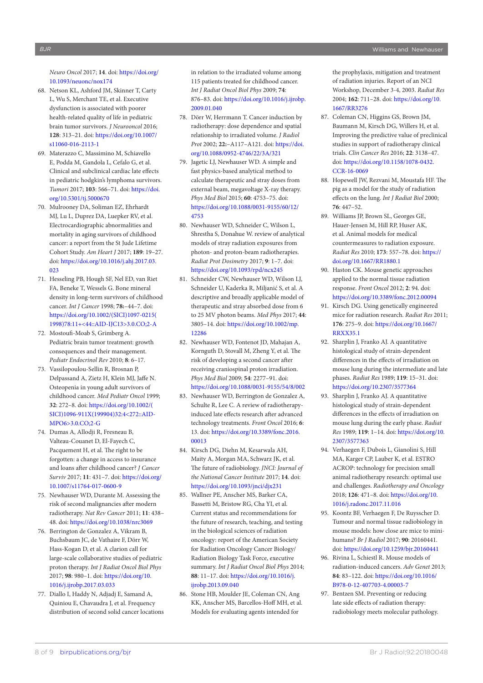*Neuro Oncol* 2017; **14**. doi: [https://doi.org/](https://doi.org/10.1093/neuonc/nox174) [10.1093/neuonc/nox174](https://doi.org/10.1093/neuonc/nox174)

- 68. Netson KL, Ashford JM, Skinner T, Carty L, Wu S, Merchant TE, et al. Executive dysfunction is associated with poorer health-related quality of life in pediatric brain tumor survivors. *J Neurooncol* 2016; **128**: 313–21. doi: [https://doi.org/10.1007/](https://doi.org/10.1007/s11060-016-2113-1) [s11060-016-2113-1](https://doi.org/10.1007/s11060-016-2113-1)
- <span id="page-8-0"></span>69. Materazzo C, Massimino M, Schiavello E, Podda M, Gandola L, Cefalo G, et al. Clinical and subclinical cardiac late effects in pediatric hodgkin's lymphoma survivors. *Tumori* 2017; **103**: 566–71. doi: [https://doi.](https://doi.org/10.5301/tj.5000670) [org/10.5301/tj.5000670](https://doi.org/10.5301/tj.5000670)
- 70. Mulrooney DA, Soliman EZ, Ehrhardt MJ, Lu L, Duprez DA, Luepker RV, et al. Electrocardiographic abnormalities and mortality in aging survivors of childhood cancer: a report from the St Jude Lifetime Cohort Study. *Am Heart J* 2017; **189**: 19–27. doi: [https://doi.org/10.1016/j.ahj.2017.03.](https://doi.org/10.1016/j.ahj.2017.03.023) [023](https://doi.org/10.1016/j.ahj.2017.03.023)
- <span id="page-8-1"></span>71. Hesseling PB, Hough SF, Nel ED, van Riet FA, Beneke T, Wessels G. Bone mineral density in long-term survivors of childhood cancer. *Int J Cancer* 1998; **78:**–44–7. doi: [https://doi.org/10.1002/\(SICI\)1097-0215\(](https://doi.org/10.1002/(SICI)1097-0215(1998)78:11+<44::AID-IJC13>3.0.CO;2-A) [1998\)78:11+<44::AID-IJC13>3.0.CO;2-A](https://doi.org/10.1002/(SICI)1097-0215(1998)78:11+<44::AID-IJC13>3.0.CO;2-A)
- 72. Mostoufi-Moab S, Grimberg A. Pediatric brain tumor treatment: growth consequences and their management. *Pediatr Endocrinol Rev* 2010; **8**: 6–17.
- 73. Vassilopoulou-Sellin R, Brosnan P, Delpassand A, Zietz H, Klein MJ, Jaffe N. Osteopenia in young adult survivors of childhood cancer. *Med Pediatr Oncol* 1999; **32**: 272–8. doi: [https://doi.org/10.1002/\(](https://doi.org/10.1002/(SICI)1096-911X(199904)32:4<272::AID-MPO6>3.0.CO;2-G) [SICI\)1096-911X\(199904\)32:4<272::AID-](https://doi.org/10.1002/(SICI)1096-911X(199904)32:4<272::AID-MPO6>3.0.CO;2-G)[MPO6>3.0.CO;2-G](https://doi.org/10.1002/(SICI)1096-911X(199904)32:4<272::AID-MPO6>3.0.CO;2-G)
- <span id="page-8-2"></span>74. Dumas A, Allodji R, Fresneau B, Valteau-Couanet D, El-Fayech C, Pacquement H, et al. The right to be forgotten: a change in access to insurance and loans after childhood cancer? *J Cancer Surviv* 2017; **11**: 431–7. doi: [https://doi.org/](https://doi.org/10.1007/s11764-017-0600-9) [10.1007/s11764-017-0600-9](https://doi.org/10.1007/s11764-017-0600-9)
- <span id="page-8-3"></span>75. Newhauser WD, Durante M. Assessing the risk of second malignancies after modern radiotherapy. *Nat Rev Cancer* 2011; **11**: 438– 48. doi:<https://doi.org/10.1038/nrc3069>
- <span id="page-8-4"></span>76. Berrington de Gonzalez A, Vikram B, Buchsbaum JC, de Vathaire F, Dörr W, Hass-Kogan D, et al. A clarion call for large-scale collaborative studies of pediatric proton therapy. *Int J Radiat Oncol Biol Phys* 2017; **98**: 980–1. doi: [https://doi.org/10.](https://doi.org/10.1016/j.ijrobp.2017.03.033) [1016/j.ijrobp.2017.03.033](https://doi.org/10.1016/j.ijrobp.2017.03.033)
- <span id="page-8-5"></span>77. Diallo I, Haddy N, Adjadj E, Samand A, Quiniou E, Chavaudra J, et al. Frequency distribution of second solid cancer locations

in relation to the irradiated volume among 115 patients treated for childhood cancer. *Int J Radiat Oncol Biol Phys* 2009; **74**: 876–83. doi: [https://doi.org/10.1016/j.ijrobp.](https://doi.org/10.1016/j.ijrobp.2009.01.040) [2009.01.040](https://doi.org/10.1016/j.ijrobp.2009.01.040)

- 78. Dörr W, Herrmann T. Cancer induction by radiotherapy: dose dependence and spatial relationship to irradiated volume. *J Radiol Prot* 2002; **22:**–A117–A121. doi: [https://doi.](https://doi.org/10.1088/0952-4746/22/3A/321) [org/10.1088/0952-4746/22/3A/321](https://doi.org/10.1088/0952-4746/22/3A/321)
- <span id="page-8-6"></span>79. Jagetic LJ, Newhauser WD. A simple and fast physics-based analytical method to calculate therapeutic and stray doses from external beam, megavoltage X-ray therapy. *Phys Med Biol* 2015; **60**: 4753–75. doi: [https://doi.org/10.1088/0031-9155/60/12/](https://doi.org/10.1088/0031-9155/60/12/4753) [4753](https://doi.org/10.1088/0031-9155/60/12/4753)
- <span id="page-8-7"></span>80. Newhauser WD, Schneider C, Wilson L, Shrestha S, Donahue W. review of analytical models of stray radiation exposures from photon- and proton-beam radiotherapies. *Radiat Prot Dosimetry* 2017; **9**: 1–7. doi: <https://doi.org/10.1093/rpd/ncx245>
- 81. Schneider CW, Newhauser WD, Wilson LJ, Schneider U, Kaderka R, Miljanić S, et al. A descriptive and broadly applicable model of therapeutic and stray absorbed dose from 6 to 25 MV photon beams. *Med Phys* 2017; **44**: 3805–14. doi: [https://doi.org/10.1002/mp.](https://doi.org/10.1002/mp.12286) [12286](https://doi.org/10.1002/mp.12286)
- <span id="page-8-8"></span>82. Newhauser WD, Fontenot JD, Mahajan A, Kornguth D, Stovall M, Zheng Y, et al. The risk of developing a second cancer after receiving craniospinal proton irradiation. *Phys Med Biol* 2009; **54**: 2277–91. doi: <https://doi.org/10.1088/0031-9155/54/8/002>
- <span id="page-8-9"></span>83. Newhauser WD, Berrington de Gonzalez A, Schulte R, Lee C. A review of radiotherapyinduced late effects research after advanced technology treatments. *Front Oncol* 2016; **6**: 13. doi: [https://doi.org/10.3389/fonc.2016.](https://doi.org/10.3389/fonc.2016.00013) [00013](https://doi.org/10.3389/fonc.2016.00013)
- <span id="page-8-10"></span>84. Kirsch DG, Diehn M, Kesarwala AH, Maity A, Morgan MA, Schwarz JK, et al. The future of radiobiology. *JNCI: Journal of the National Cancer Institute* 2017; **14**. doi: <https://doi.org/10.1093/jnci/djx231>
- 85. Wallner PE, Anscher MS, Barker CA, Bassetti M, Bristow RG, Cha YI, et al. Current status and recommendations for the future of research, teaching, and testing in the biological sciences of radiation oncology: report of the American Society for Radiation Oncology Cancer Biology/ Radiation Biology Task Force, executive summary. *Int J Radiat Oncol Biol Phys* 2014; **88**: 11–17. doi: [https://doi.org/10.1016/j.](https://doi.org/10.1016/j.ijrobp.2013.09.040) iirobp.2013.09.040
- <span id="page-8-11"></span>86. Stone HB, Moulder JE, Coleman CN, Ang KK, Anscher MS, Barcellos-Hoff MH, et al. Models for evaluating agents intended for

the prophylaxis, mitigation and treatment of radiation injuries. Report of an NCI Workshop, December 3-4, 2003. *Radiat Res* 2004; **162**: 711–28. doi: [https://doi.org/10.](https://doi.org/10.1667/RR3276) [1667/RR3276](https://doi.org/10.1667/RR3276)

- 87. Coleman CN, Higgins GS, Brown JM, Baumann M, Kirsch DG, Willers H, et al. Improving the predictive value of preclinical studies in support of radiotherapy clinical trials. *Clin Cancer Res* 2016; **22**: 3138–47. doi: [https://doi.org/10.1158/1078-0432.](https://doi.org/10.1158/1078-0432.CCR-16-0069) [CCR-16-0069](https://doi.org/10.1158/1078-0432.CCR-16-0069)
- <span id="page-8-12"></span>88. Hopewell JW, Rezvani M, Moustafa HF. The pig as a model for the study of radiation effects on the lung. *Int J Radiat Biol* 2000; **76**: 447–52.
- <span id="page-8-16"></span>89. Williams JP, Brown SL, Georges GE, Hauer-Jensen M, Hill RP, Huser AK, et al. Animal models for medical countermeasures to radiation exposure. *Radiat Res* 2010; **173**: 557–78. doi: [https://](https://doi.org/10.1667/RR1880.1) [doi.org/10.1667/RR1880.1](https://doi.org/10.1667/RR1880.1)
- <span id="page-8-13"></span>90. Haston CK. Mouse genetic approaches applied to the normal tissue radiation response. *Front Oncol* 2012; **2**: 94. doi: <https://doi.org/10.3389/fonc.2012.00094>
- 91. Kirsch DG. Using genetically engineered mice for radiation research. *Radiat Res* 2011; **176**: 275–9. doi: [https://doi.org/10.1667/](https://doi.org/10.1667/RRXX35.1) [RRXX35.1](https://doi.org/10.1667/RRXX35.1)
- <span id="page-8-14"></span>92. Sharplin J, Franko AJ. A quantitative histological study of strain-dependent differences in the effects of irradiation on mouse lung during the intermediate and late phases. *Radiat Res* 1989; **119**: 15–31. doi: <https://doi.org/10.2307/3577364>
- 93. Sharplin J, Franko AJ. A quantitative histological study of strain-dependent differences in the effects of irradiation on mouse lung during the early phase. *Radiat Res* 1989; **119**: 1–14. doi: [https://doi.org/10.](https://doi.org/10.2307/3577363) [2307/3577363](https://doi.org/10.2307/3577363)
- <span id="page-8-15"></span>94. Verhaegen F, Dubois L, Gianolini S, Hill MA, Karger CP, Lauber K, et al. ESTRO ACROP: technology for precision small animal radiotherapy research: optimal use and challenges. *Radiotherapy and Oncology* 2018; **126**: 471–8. doi: [https://doi.org/10.](https://doi.org/10.1016/j.radonc.2017.11.016) [1016/j.radonc.2017.11.016](https://doi.org/10.1016/j.radonc.2017.11.016)
- 95. Koontz BF, Verhaegen F, De Ruysscher D. Tumour and normal tissue radiobiology in mouse models: how close are mice to minihumans? *Br J Radiol* 2017; **90**: 20160441. doi: <https://doi.org/10.1259/bjr.20160441>
- 96. Rivina L, Schiestl R. Mouse models of radiation-induced cancers. *Adv Genet* 2013; **84**: 83–122. doi: [https://doi.org/10.1016/](https://doi.org/10.1016/B978-0-12-407703-4.00003-7) [B978-0-12-407703-4.00003-7](https://doi.org/10.1016/B978-0-12-407703-4.00003-7)
- <span id="page-8-17"></span>97. Bentzen SM. Preventing or reducing late side effects of radiation therapy: radiobiology meets molecular pathology.